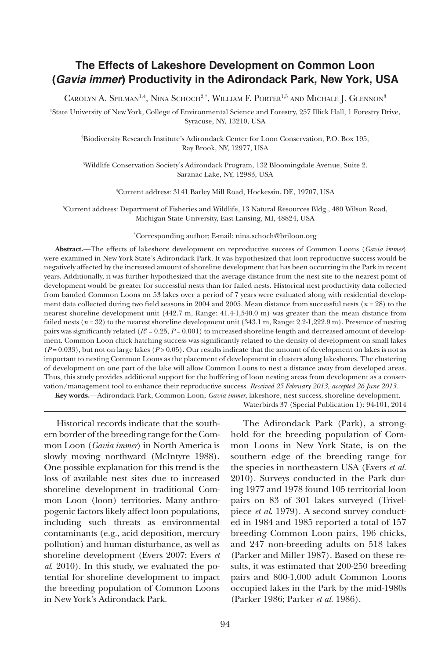# **The Effects of Lakeshore Development on Common Loon (***Gavia immer***) Productivity in the Adirondack Park, New York, USA**

CAROLYN A. SPILMAN<sup>1,4</sup>, NINA SCHOCH<sup>2,\*</sup>, WILLIAM F. PORTER<sup>1,5</sup> AND MICHALE J. GLENNON<sup>3</sup>

1 State University of New York, College of Environmental Science and Forestry, 257 Illick Hall, 1 Forestry Drive, Syracuse, NY, 13210, USA

2 Biodiversity Research Institute's Adirondack Center for Loon Conservation, P.O. Box 195, Ray Brook, NY, 12977, USA

3 Wildlife Conservation Society's Adirondack Program, 132 Bloomingdale Avenue, Suite 2, Saranac Lake, NY, 12983, USA

4 Current address: 3141 Barley Mill Road, Hockessin, DE, 19707, USA

5 Current address: Department of Fisheries and Wildlife, 13 Natural Resources Bldg., 480 Wilson Road, Michigan State University, East Lansing, MI, 48824, USA

\* Corresponding author; E-mail: nina.schoch@briloon.org

**Abstract.—**The effects of lakeshore development on reproductive success of Common Loons (*Gavia immer*) were examined in New York State's Adirondack Park. It was hypothesized that loon reproductive success would be negatively affected by the increased amount of shoreline development that has been occurring in the Park in recent years. Additionally, it was further hypothesized that the average distance from the nest site to the nearest point of development would be greater for successful nests than for failed nests. Historical nest productivity data collected from banded Common Loons on 53 lakes over a period of 7 years were evaluated along with residential development data collected during two field seasons in 2004 and 2005. Mean distance from successful nests  $(n = 28)$  to the nearest shoreline development unit (442.7 m, Range: 41.4-1,540.0 m) was greater than the mean distance from failed nests ( $n = 32$ ) to the nearest shoreline development unit (343.1 m, Range: 2.2-1,222.9 m). Presence of nesting pairs was significantly related ( $R^2 = 0.25$ ,  $P = 0.001$ ) to increased shoreline length and decreased amount of development. Common Loon chick hatching success was significantly related to the density of development on small lakes  $(P=0.033)$ , but not on large lakes  $(P>0.05)$ . Our results indicate that the amount of development on lakes is not as important to nesting Common Loons as the placement of development in clusters along lakeshores. The clustering of development on one part of the lake will allow Common Loons to nest a distance away from developed areas. Thus, this study provides additional support for the buffering of loon nesting areas from development as a conservation/management tool to enhance their reproductive success. *Received 25 February 2013, accepted 26 June 2013*.

**Key words.—**Adirondack Park, Common Loon, *Gavia immer*, lakeshore, nest success, shoreline development. Waterbirds 37 (Special Publication 1): 94-101, 2014

Historical records indicate that the southern border of the breeding range for the Common Loon (*Gavia immer*) in North America is slowly moving northward (McIntyre 1988). One possible explanation for this trend is the loss of available nest sites due to increased shoreline development in traditional Common Loon (loon) territories. Many anthropogenic factors likely affect loon populations, including such threats as environmental contaminants (e.g., acid deposition, mercury pollution) and human disturbance, as well as shoreline development (Evers 2007; Evers *et al*. 2010). In this study, we evaluated the potential for shoreline development to impact the breeding population of Common Loons in New York's Adirondack Park.

The Adirondack Park (Park), a stronghold for the breeding population of Common Loons in New York State, is on the southern edge of the breeding range for the species in northeastern USA (Evers *et al*. 2010). Surveys conducted in the Park during 1977 and 1978 found 105 territorial loon pairs on 83 of 301 lakes surveyed (Trivelpiece *et al*. 1979). A second survey conducted in 1984 and 1985 reported a total of 157 breeding Common Loon pairs, 196 chicks, and 247 non-breeding adults on 518 lakes (Parker and Miller 1987). Based on these results, it was estimated that 200-250 breeding pairs and 800-1,000 adult Common Loons occupied lakes in the Park by the mid-1980s (Parker 1986; Parker *et al*. 1986).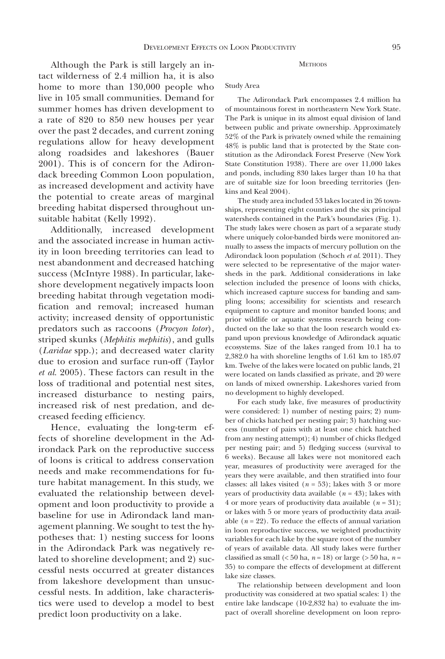Although the Park is still largely an intact wilderness of 2.4 million ha, it is also home to more than 130,000 people who live in 105 small communities. Demand for summer homes has driven development to a rate of 820 to 850 new houses per year over the past 2 decades, and current zoning regulations allow for heavy development along roadsides and lakeshores (Bauer 2001). This is of concern for the Adirondack breeding Common Loon population, as increased development and activity have the potential to create areas of marginal breeding habitat dispersed throughout unsuitable habitat (Kelly 1992).

Additionally, increased development and the associated increase in human activity in loon breeding territories can lead to nest abandonment and decreased hatching success (McIntyre 1988). In particular, lakeshore development negatively impacts loon breeding habitat through vegetation modification and removal; increased human activity; increased density of opportunistic predators such as raccoons (*Procyon lotor*), striped skunks (*Mephitis mephitis*), and gulls (*Laridae* spp.); and decreased water clarity due to erosion and surface run-off (Taylor *et al*. 2005). These factors can result in the loss of traditional and potential nest sites, increased disturbance to nesting pairs, increased risk of nest predation, and decreased feeding efficiency.

Hence, evaluating the long-term effects of shoreline development in the Adirondack Park on the reproductive success of loons is critical to address conservation needs and make recommendations for future habitat management. In this study, we evaluated the relationship between development and loon productivity to provide a baseline for use in Adirondack land management planning. We sought to test the hypotheses that: 1) nesting success for loons in the Adirondack Park was negatively related to shoreline development; and 2) successful nests occurred at greater distances from lakeshore development than unsuccessful nests. In addition, lake characteristics were used to develop a model to best predict loon productivity on a lake.

#### **METHODS**

### Study Area

The Adirondack Park encompasses 2.4 million ha of mountainous forest in northeastern New York State. The Park is unique in its almost equal division of land between public and private ownership. Approximately 52% of the Park is privately owned while the remaining 48% is public land that is protected by the State constitution as the Adirondack Forest Preserve (New York State Constitution 1938). There are over 11,000 lakes and ponds, including 830 lakes larger than 10 ha that are of suitable size for loon breeding territories (Jenkins and Keal 2004).

The study area included 53 lakes located in 26 townships, representing eight counties and the six principal watersheds contained in the Park's boundaries (Fig. 1). The study lakes were chosen as part of a separate study where uniquely color-banded birds were monitored annually to assess the impacts of mercury pollution on the Adirondack loon population (Schoch *et al*. 2011). They were selected to be representative of the major watersheds in the park. Additional considerations in lake selection included the presence of loons with chicks, which increased capture success for banding and sampling loons; accessibility for scientists and research equipment to capture and monitor banded loons; and prior wildlife or aquatic systems research being conducted on the lake so that the loon research would expand upon previous knowledge of Adirondack aquatic ecosystems. Size of the lakes ranged from 10.1 ha to 2,382.0 ha with shoreline lengths of 1.61 km to 185.07 km. Twelve of the lakes were located on public lands, 21 were located on lands classified as private, and 20 were on lands of mixed ownership. Lakeshores varied from no development to highly developed.

For each study lake, five measures of productivity were considered: 1) number of nesting pairs; 2) number of chicks hatched per nesting pair; 3) hatching success (number of pairs with at least one chick hatched from any nesting attempt); 4) number of chicks fledged per nesting pair; and 5) fledging success (survival to 6 weeks). Because all lakes were not monitored each year, measures of productivity were averaged for the years they were available, and then stratified into four classes: all lakes visited  $(n = 53)$ ; lakes with 3 or more years of productivity data available  $(n = 43)$ ; lakes with 4 or more years of productivity data available  $(n = 31)$ ; or lakes with 5 or more years of productivity data available  $(n = 22)$ . To reduce the effects of annual variation in loon reproductive success, we weighted productivity variables for each lake by the square root of the number of years of available data. All study lakes were further classified as small  $( $50 \text{ ha}, n = 18$ ) or large ( $> 50 \text{ ha}, n =$$ 35) to compare the effects of development at different lake size classes.

The relationship between development and loon productivity was considered at two spatial scales: 1) the entire lake landscape (10-2,832 ha) to evaluate the impact of overall shoreline development on loon repro-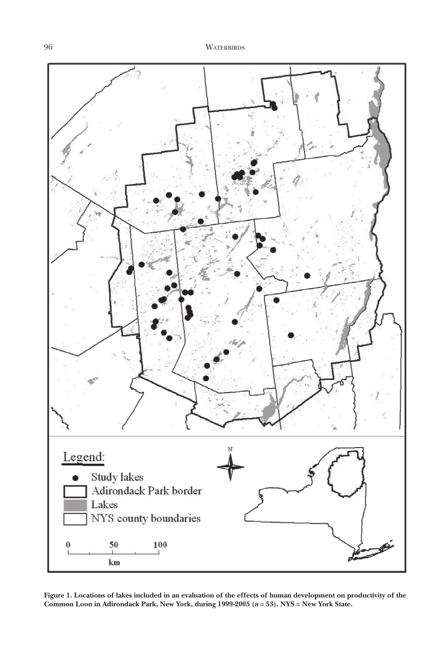

**Figure 1. Locations of lakes included in an evaluation of the effects of human development on productivity of the Common Loon in Adirondack Park, New York, during 1999-2005 (***n* **= 53). NYS = New York State.**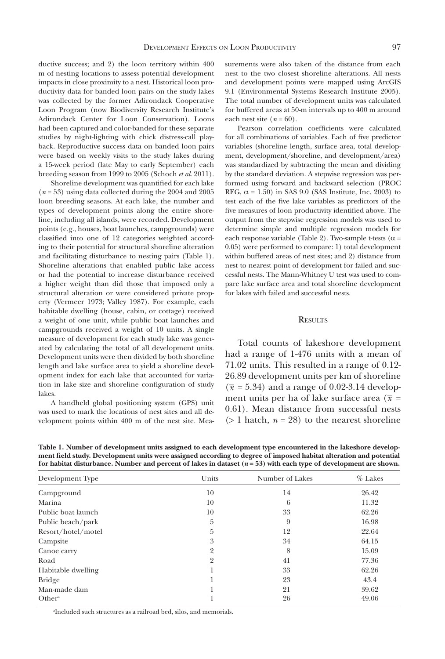ductive success; and 2) the loon territory within 400 m of nesting locations to assess potential development impacts in close proximity to a nest. Historical loon productivity data for banded loon pairs on the study lakes was collected by the former Adirondack Cooperative Loon Program (now Biodiversity Research Institute's Adirondack Center for Loon Conservation). Loons had been captured and color-banded for these separate studies by night-lighting with chick distress-call playback. Reproductive success data on banded loon pairs were based on weekly visits to the study lakes during a 15-week period (late May to early September) each breeding season from 1999 to 2005 (Schoch *et al*. 2011).

Shoreline development was quantified for each lake (*n* = 53) using data collected during the 2004 and 2005 loon breeding seasons. At each lake, the number and types of development points along the entire shoreline, including all islands, were recorded. Development points (e.g., houses, boat launches, campgrounds) were classified into one of 12 categories weighted according to their potential for structural shoreline alteration and facilitating disturbance to nesting pairs (Table 1). Shoreline alterations that enabled public lake access or had the potential to increase disturbance received a higher weight than did those that imposed only a structural alteration or were considered private property (Vermeer 1973; Valley 1987). For example, each habitable dwelling (house, cabin, or cottage) received a weight of one unit, while public boat launches and campgrounds received a weight of 10 units. A single measure of development for each study lake was generated by calculating the total of all development units. Development units were then divided by both shoreline length and lake surface area to yield a shoreline development index for each lake that accounted for variation in lake size and shoreline configuration of study lakes.

A handheld global positioning system (GPS) unit was used to mark the locations of nest sites and all development points within 400 m of the nest site. Measurements were also taken of the distance from each nest to the two closest shoreline alterations. All nests and development points were mapped using ArcGIS 9.1 (Environmental Systems Research Institute 2005). The total number of development units was calculated for buffered areas at 50-m intervals up to 400 m around each nest site  $(n = 60)$ .

Pearson correlation coefficients were calculated for all combinations of variables. Each of five predictor variables (shoreline length, surface area, total development, development/shoreline, and development/area) was standardized by subtracting the mean and dividing by the standard deviation. A stepwise regression was performed using forward and backward selection (PROC REG,  $\alpha = 1.50$ ) in SAS 9.0 (SAS Institute, Inc. 2003) to test each of the five lake variables as predictors of the five measures of loon productivity identified above. The output from the stepwise regression models was used to determine simple and multiple regression models for each response variable (Table 2). Two-sample t-tests ( $\alpha$  = 0.05) were performed to compare: 1) total development within buffered areas of nest sites; and 2) distance from nest to nearest point of development for failed and successful nests. The Mann-Whitney U test was used to compare lake surface area and total shoreline development for lakes with failed and successful nests.

## **RESULTS**

Total counts of lakeshore development had a range of 1-476 units with a mean of 71.02 units. This resulted in a range of 0.12- 26.89 development units per km of shoreline  $(\overline{x} = 5.34)$  and a range of 0.02-3.14 development units per ha of lake surface area ( $\bar{x}$  = 0.61). Mean distance from successful nests  $(> 1$  hatch,  $n = 28$ ) to the nearest shoreline

**Table 1. Number of development units assigned to each development type encountered in the lakeshore development field study. Development units were assigned according to degree of imposed habitat alteration and potential for habitat disturbance. Number and percent of lakes in dataset (***n* **= 53) with each type of development are shown.**

| Development Type   | Units          | Number of Lakes | $%$ Lakes |
|--------------------|----------------|-----------------|-----------|
| Campground         | 10             | 14              | 26.42     |
| Marina             | 10             | 6               | 11.32     |
| Public boat launch | 10             | 33              | 62.26     |
| Public beach/park  | 5              | 9               | 16.98     |
| Resort/hotel/motel | 5              | 12              | 22.64     |
| Campsite           | 3              | 34              | 64.15     |
| Canoe carry        | $\overline{2}$ | 8               | 15.09     |
| Road               | $\overline{2}$ | 41              | 77.36     |
| Habitable dwelling |                | 33              | 62.26     |
| <b>Bridge</b>      |                | 23              | 43.4      |
| Man-made dam       |                | 21              | 39.62     |
| Other <sup>a</sup> |                | 26              | 49.06     |

aIncluded such structures as a railroad bed, silos, and memorials.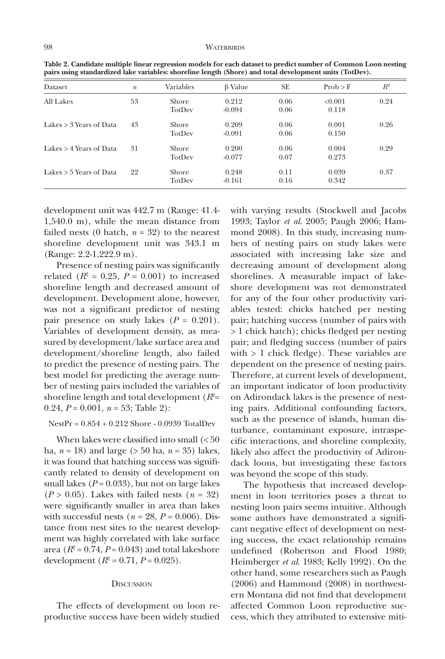| ранз изне записатився так тапался, зногение тендин (эпоте) ана тола истерниет ання (толост). |                  |                        |                   |              |                  |       |  |  |  |
|----------------------------------------------------------------------------------------------|------------------|------------------------|-------------------|--------------|------------------|-------|--|--|--|
| Dataset                                                                                      | $\boldsymbol{n}$ | Variables              | $\beta$ Value     | <b>SE</b>    | Prob > F         | $R^2$ |  |  |  |
| All Lakes                                                                                    | 53               | <b>Shore</b><br>TotDev | 0.212<br>$-0.094$ | 0.06<br>0.06 | < 0.001<br>0.118 | 0.24  |  |  |  |
| Lakes > 3 Years of Data                                                                      | 43               | <b>Shore</b><br>TotDev | 0.209<br>$-0.091$ | 0.06<br>0.06 | 0.001<br>0.150   | 0.26  |  |  |  |
| Lakes > 4 Years of Data                                                                      | 31               | <b>Shore</b><br>TotDev | 0.200<br>$-0.077$ | 0.06<br>0.07 | 0.004<br>0.273   | 0.29  |  |  |  |
| Lakes $> 5$ Years of Data                                                                    | 22               | <b>Shore</b><br>TotDev | 0.248<br>$-0.161$ | 0.11<br>0.16 | 0.039<br>0.342   | 0.37  |  |  |  |

**Table 2. Candidate multiple linear regression models for each dataset to predict number of Common Loon nesting pairs using standardized lake variables: shoreline length (Shore) and total development units (TotDev).**

development unit was 442.7 m (Range: 41.4- 1,540.0 m), while the mean distance from failed nests (0 hatch,  $n = 32$ ) to the nearest shoreline development unit was 343.1 m (Range: 2.2-1,222.9 m).

Presence of nesting pairs was significantly related  $(R^2 = 0.25, P = 0.001)$  to increased shoreline length and decreased amount of development. Development alone, however, was not a significant predictor of nesting pair presence on study lakes  $(P = 0.201)$ . Variables of development density, as measured by development/lake surface area and development/shoreline length, also failed to predict the presence of nesting pairs. The best model for predicting the average number of nesting pairs included the variables of shoreline length and total development  $(R^2=$ 0.24,  $P = 0.001$ ,  $n = 53$ ; Table 2):

NestPr = 0.854 + 0.212 Shore - 0.0939 TotalDev

When lakes were classified into small (< 50 ha, *n* = 18) and large (> 50 ha, *n* = 35) lakes, it was found that hatching success was significantly related to density of development on small lakes  $(P = 0.033)$ , but not on large lakes  $(P > 0.05)$ . Lakes with failed nests  $(n = 32)$ were significantly smaller in area than lakes with successful nests  $(n = 28, P = 0.006)$ . Distance from nest sites to the nearest development was highly correlated with lake surface area  $(R^2 = 0.74, P = 0.043)$  and total lakeshore development  $(R^2 = 0.71, P = 0.025)$ .

## **DISCUSSION**

The effects of development on loon reproductive success have been widely studied with varying results (Stockwell and Jacobs 1993; Taylor *et al*. 2005; Paugh 2006; Hammond 2008). In this study, increasing numbers of nesting pairs on study lakes were associated with increasing lake size and decreasing amount of development along shorelines. A measurable impact of lakeshore development was not demonstrated for any of the four other productivity variables tested: chicks hatched per nesting pair; hatching success (number of pairs with > 1 chick hatch); chicks fledged per nesting pair; and fledging success (number of pairs with > 1 chick fledge). These variables are dependent on the presence of nesting pairs. Therefore, at current levels of development, an important indicator of loon productivity on Adirondack lakes is the presence of nesting pairs. Additional confounding factors, such as the presence of islands, human disturbance, contaminant exposure, intraspecific interactions, and shoreline complexity, likely also affect the productivity of Adirondack loons, but investigating these factors was beyond the scope of this study.

The hypothesis that increased development in loon territories poses a threat to nesting loon pairs seems intuitive. Although some authors have demonstrated a significant negative effect of development on nesting success, the exact relationship remains undefined (Robertson and Flood 1980; Heimberger *et al*. 1983; Kelly 1992). On the other hand, some researchers such as Paugh (2006) and Hammond (2008) in northwestern Montana did not find that development affected Common Loon reproductive success, which they attributed to extensive miti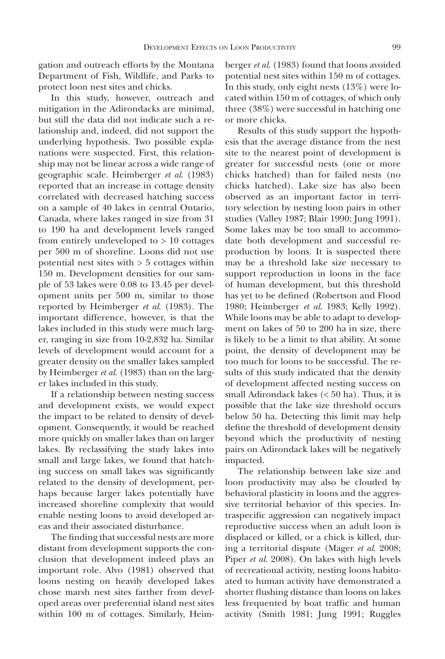gation and outreach efforts by the Montana Department of Fish, Wildlife, and Parks to protect loon nest sites and chicks.

In this study, however, outreach and mitigation in the Adirondacks are minimal, but still the data did not indicate such a relationship and, indeed, did not support the underlying hypothesis. Two possible explanations were suspected. First, this relationship may not be linear across a wide range of geographic scale. Heimberger *et al*. (1983) reported that an increase in cottage density correlated with decreased hatching success on a sample of 40 lakes in central Ontario, Canada, where lakes ranged in size from 31 to 190 ha and development levels ranged from entirely undeveloped to > 10 cottages per 500 m of shoreline. Loons did not use potential nest sites with > 5 cottages within 150 m. Development densities for our sample of 53 lakes were 0.08 to 13.45 per development units per 500 m, similar to those reported by Heimberger *et al*. (1983). The important difference, however, is that the lakes included in this study were much larger, ranging in size from 10-2,832 ha. Similar levels of development would account for a greater density on the smaller lakes sampled by Heimberger *et al*. (1983) than on the larger lakes included in this study.

If a relationship between nesting success and development exists, we would expect the impact to be related to density of development. Consequently, it would be reached more quickly on smaller lakes than on larger lakes. By reclassifying the study lakes into small and large lakes, we found that hatching success on small lakes was significantly related to the density of development, perhaps because larger lakes potentially have increased shoreline complexity that would enable nesting loons to avoid developed areas and their associated disturbance.

The finding that successful nests are more distant from development supports the conclusion that development indeed plays an important role. Alvo (1981) observed that loons nesting on heavily developed lakes chose marsh nest sites farther from developed areas over preferential island nest sites within 100 m of cottages. Similarly, Heimberger *et al*. (1983) found that loons avoided potential nest sites within 150 m of cottages. In this study, only eight nests (13%) were located within 150 m of cottages, of which only three (38%) were successful in hatching one or more chicks.

Results of this study support the hypothesis that the average distance from the nest site to the nearest point of development is greater for successful nests (one or more chicks hatched) than for failed nests (no chicks hatched). Lake size has also been observed as an important factor in territory selection by nesting loon pairs in other studies (Valley 1987; Blair 1990; Jung 1991). Some lakes may be too small to accommodate both development and successful reproduction by loons. It is suspected there may be a threshold lake size necessary to support reproduction in loons in the face of human development, but this threshold has yet to be defined (Robertson and Flood 1980; Heimberger *et al*. 1983; Kelly 1992). While loons may be able to adapt to development on lakes of 50 to 200 ha in size, there is likely to be a limit to that ability. At some point, the density of development may be too much for loons to be successful. The results of this study indicated that the density of development affected nesting success on small Adirondack lakes (< 50 ha). Thus, it is possible that the lake size threshold occurs below 50 ha. Detecting this limit may help define the threshold of development density beyond which the productivity of nesting pairs on Adirondack lakes will be negatively impacted.

The relationship between lake size and loon productivity may also be clouded by behavioral plasticity in loons and the aggressive territorial behavior of this species. Intraspecific aggression can negatively impact reproductive success when an adult loon is displaced or killed, or a chick is killed, during a territorial dispute (Mager *et al*. 2008; Piper *et al*. 2008). On lakes with high levels of recreational activity, nesting loons habituated to human activity have demonstrated a shorter flushing distance than loons on lakes less frequented by boat traffic and human activity (Smith 1981; Jung 1991; Ruggles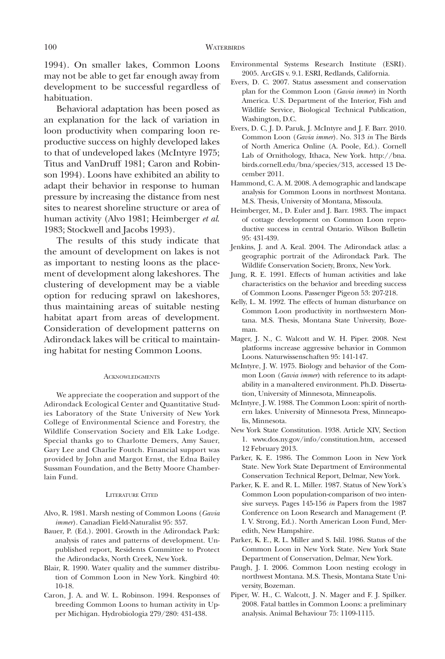1994). On smaller lakes, Common Loons may not be able to get far enough away from development to be successful regardless of habituation.

Behavioral adaptation has been posed as an explanation for the lack of variation in loon productivity when comparing loon reproductive success on highly developed lakes to that of undeveloped lakes (McIntyre 1975; Titus and VanDruff 1981; Caron and Robinson 1994). Loons have exhibited an ability to adapt their behavior in response to human pressure by increasing the distance from nest sites to nearest shoreline structure or area of human activity (Alvo 1981; Heimberger *et al*. 1983; Stockwell and Jacobs 1993).

The results of this study indicate that the amount of development on lakes is not as important to nesting loons as the placement of development along lakeshores. The clustering of development may be a viable option for reducing sprawl on lakeshores, thus maintaining areas of suitable nesting habitat apart from areas of development. Consideration of development patterns on Adirondack lakes will be critical to maintaining habitat for nesting Common Loons.

## ACKNOWLEDGMENTS

We appreciate the cooperation and support of the Adirondack Ecological Center and Quantitative Studies Laboratory of the State University of New York College of Environmental Science and Forestry, the Wildlife Conservation Society and Elk Lake Lodge. Special thanks go to Charlotte Demers, Amy Sauer, Gary Lee and Charlie Foutch. Financial support was provided by John and Margot Ernst, the Edna Bailey Sussman Foundation, and the Betty Moore Chamberlain Fund.

## Literature Cited

- Alvo, R. 1981. Marsh nesting of Common Loons (*Gavia immer*). Canadian Field-Naturalist 95: 357.
- Bauer, P. (Ed.). 2001. Growth in the Adirondack Park: analysis of rates and patterns of development. Unpublished report, Residents Committee to Protect the Adirondacks, North Creek, New York.
- Blair, R. 1990. Water quality and the summer distribution of Common Loon in New York. Kingbird 40: 10-18.
- Caron, J. A. and W. L. Robinson. 1994. Responses of breeding Common Loons to human activity in Upper Michigan. Hydrobiologia 279/280: 431-438.
- Environmental Systems Research Institute (ESRI). 2005. ArcGIS v. 9.1. ESRI, Redlands, California.
- Evers, D. C. 2007. Status assessment and conservation plan for the Common Loon (*Gavia immer*) in North America. U.S. Department of the Interior, Fish and Wildlife Service, Biological Technical Publication, Washington, D.C.
- Evers, D. C, J. D. Paruk, J. McIntyre and J. F. Barr. 2010. Common Loon (*Gavia immer*). No. 313 *in* The Birds of North America Online (A. Poole, Ed.). Cornell Lab of Ornithology, Ithaca, New York. http://bna. birds.cornell.edu/bna/species/313, accessed 13 December 2011.
- Hammond, C. A. M. 2008. A demographic and landscape analysis for Common Loons in northwest Montana. M.S. Thesis, University of Montana, Missoula.
- Heimberger, M., D. Euler and J. Barr. 1983. The impact of cottage development on Common Loon reproductive success in central Ontario. Wilson Bulletin 95: 431-439.
- Jenkins, J. and A. Keal. 2004. The Adirondack atlas: a geographic portrait of the Adirondack Park. The Wildlife Conservation Society, Bronx, New York.
- Jung, R. E. 1991. Effects of human activities and lake characteristics on the behavior and breeding success of Common Loons. Passenger Pigeon 53: 207-218.
- Kelly, L. M. 1992. The effects of human disturbance on Common Loon productivity in northwestern Montana. M.S. Thesis, Montana State University, Bozeman.
- Mager, J. N., C. Walcott and W. H. Piper. 2008. Nest platforms increase aggressive behavior in Common Loons. Naturwissenschaften 95: 141-147.
- McIntyre, J. W. 1975. Biology and behavior of the Common Loon (*Gavia immer*) with reference to its adaptability in a man-altered environment. Ph.D. Dissertation, University of Minnesota, Minneapolis.
- McIntyre, J. W. 1988. The Common Loon: spirit of northern lakes. University of Minnesota Press, Minneapolis, Minnesota.
- New York State Constitution. 1938. Article XIV, Section 1. www.dos.ny.gov/info/constitution.htm, accessed 12 February 2013.
- Parker, K. E. 1986. The Common Loon in New York State. New York State Department of Environmental Conservation Technical Report, Delmar, New York.
- Parker, K. E. and R. L. Miller. 1987. Status of New York's Common Loon population-comparison of two intensive surveys. Pages 145-156 *in* Papers from the 1987 Conference on Loon Research and Management (P. I. V. Strong, Ed.). North American Loon Fund, Meredith, New Hampshire.
- Parker, K. E., R. L. Miller and S. Islil. 1986. Status of the Common Loon in New York State. New York State Department of Conservation, Delmar, New York.
- Paugh, J. I. 2006. Common Loon nesting ecology in northwest Montana. M.S. Thesis, Montana State University, Bozeman.
- Piper, W. H., C. Walcott, J. N. Mager and F. J. Spilker. 2008. Fatal battles in Common Loons: a preliminary analysis. Animal Behaviour 75: 1109-1115.